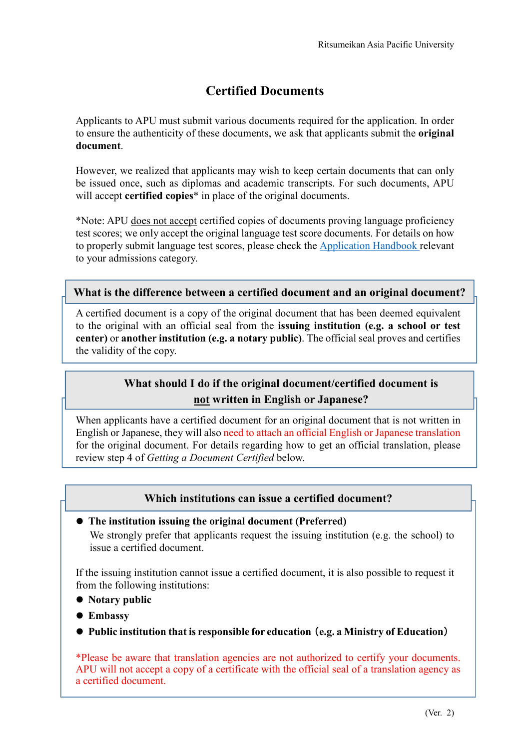# **Certified Documents**

Applicants to APU must submit various documents required for the application. In order to ensure the authenticity of these documents, we ask that applicants submit the **original document**.

However, we realized that applicants may wish to keep certain documents that can only be issued once, such as diplomas and academic transcripts. For such documents, APU will accept **certified copies**\* in place of the original documents.

\*Note: APU does not accept certified copies of documents proving language proficiency test scores; we only accept the original language test score documents. For details on how to properly submit language test scores, please check the Application Handbook relevant to your admissions category.

### **What is the difference between a certified document and an original document?**

A certified document is a copy of the original document that has been deemed equivalent to the original with an official seal from the **issuing institution (e.g. a school or test center)** or **another institution (e.g. a notary public)**. The official seal proves and certifies the validity of the copy.

## **What should I do if the original document/certified document is not written in English or Japanese?**

When applicants have a certified document for an original document that is not written in English or Japanese, they will also need to attach an official English or Japanese translation for the original document. For details regarding how to get an official translation, please review step 4 of *Getting a Document Certified* below.

### **Which institutions can issue a certified document?**

#### **The institution issuing the original document (Preferred)**

We strongly prefer that applicants request the issuing institution (e.g. the school) to issue a certified document.

If the issuing institution cannot issue a certified document, it is also possible to request it from the following institutions:

- **Notary public**
- **Embassy**
- **Public institution that is responsible for education**(**e.g. a Ministry of Education**)

\*Please be aware that translation agencies are not authorized to certify your documents. APU will not accept a copy of a certificate with the official seal of a translation agency as a certified document.